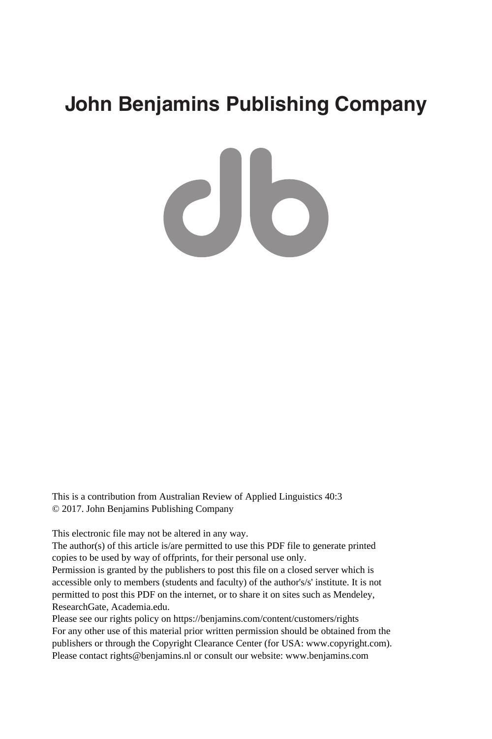# **John Benjamins Publishing Company**

CIO

This is a contribution from Australian Review of Applied Linguistics 40:3 © 2017. John Benjamins Publishing Company

This electronic file may not be altered in any way.

The author(s) of this article is/are permitted to use this PDF file to generate printed copies to be used by way of offprints, for their personal use only.

Permission is granted by the publishers to post this file on a closed server which is accessible only to members (students and faculty) of the author's/s' institute. It is not permitted to post this PDF on the internet, or to share it on sites such as Mendeley, ResearchGate, Academia.edu.

Please see our rights policy on https://benjamins.com/content/customers/rights For any other use of this material prior written permission should be obtained from the publishers or through the Copyright Clearance Center (for USA: www.copyright.com). Please contact rights@benjamins.nl or consult our website: www.benjamins.com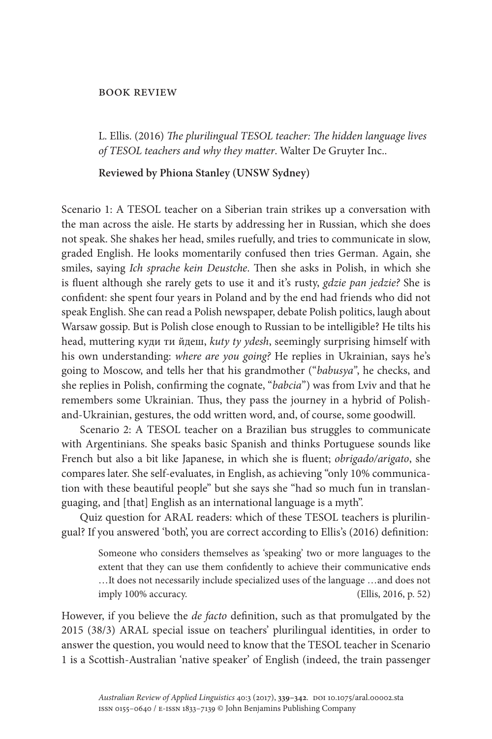#### Book review

L. Ellis. (2016) *The plurilingual TESOL teacher: The hidden language lives of TESOL teachers and why they matter*. Walter De Gruyter Inc..

### **Reviewed by Phiona Stanley (UNSW Sydney)**

Scenario 1: A TESOL teacher on a Siberian train strikes up a conversation with the man across the aisle. He starts by addressing her in Russian, which she does not speak. She shakes her head, smiles ruefully, and tries to communicate in slow, graded English. He looks momentarily confused then tries German. Again, she smiles, saying *Ich sprache kein Deustche*. Then she asks in Polish, in which she is fluent although she rarely gets to use it and it's rusty, *gdzie pan jedzie?* She is confident: she spent four years in Poland and by the end had friends who did not speak English. She can read a Polish newspaper, debate Polish politics, laugh about Warsaw gossip. But is Polish close enough to Russian to be intelligible? He tilts his head, muttering куди ти йдеш, *kuty ty ydesh*, seemingly surprising himself with his own understanding: *where are you going?* He replies in Ukrainian, says he's going to Moscow, and tells her that his grandmother ("*babusya"*, he checks, and she replies in Polish, confirming the cognate, "*babcia*") was from Lviv and that he remembers some Ukrainian. Thus, they pass the journey in a hybrid of Polishand-Ukrainian, gestures, the odd written word, and, of course, some goodwill.

Scenario 2: A TESOL teacher on a Brazilian bus struggles to communicate with Argentinians. She speaks basic Spanish and thinks Portuguese sounds like French but also a bit like Japanese, in which she is fluent; *obrigado/arigato*, she compares later. She self-evaluates, in English, as achieving "only 10% communication with these beautiful people" but she says she "had so much fun in translanguaging, and [that] English as an international language is a myth".

Quiz question for ARAL readers: which of these TESOL teachers is plurilingual? If you answered 'both', you are correct according to Ellis's (2016) definition:

> Someone who considers themselves as 'speaking' two or more languages to the extent that they can use them confidently to achieve their communicative ends …It does not necessarily include specialized uses of the language …and does not imply 100% accuracy. (Ellis, 2016, p. 52)

However, if you believe the *de facto* definition, such as that promulgated by the 2015 (38/3) ARAL special issue on teachers' plurilingual identities, in order to answer the question, you would need to know that the TESOL teacher in Scenario 1 is a Scottish-Australian 'native speaker' of English (indeed, the train passenger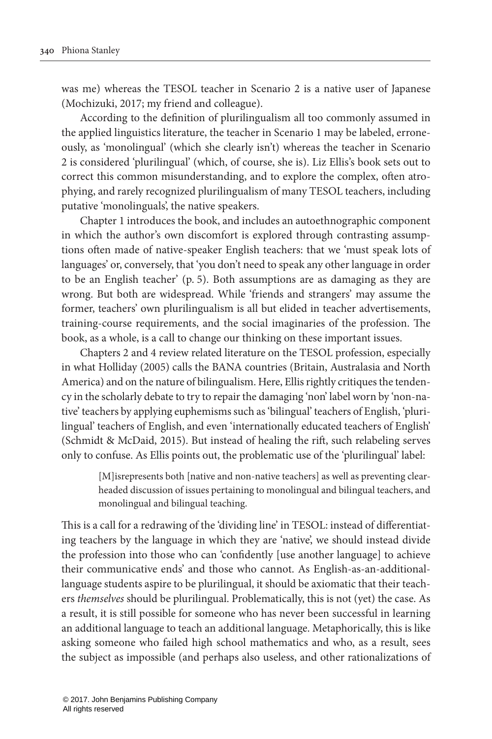was me) whereas the TESOL teacher in Scenario 2 is a native user of Japanese [\(Mochizuki, 2017;](#page-4-0) my friend and colleague).

According to the definition of plurilingualism all too commonly assumed in the applied linguistics literature, the teacher in Scenario 1 may be labeled, erroneously, as 'monolingual' (which she clearly isn't) whereas the teacher in Scenario 2 is considered 'plurilingual' (which, of course, she is). Liz Ellis's book sets out to correct this common misunderstanding, and to explore the complex, often atrophying, and rarely recognized plurilingualism of many TESOL teachers, including putative 'monolinguals', the native speakers.

Chapter 1 introduces the book, and includes an autoethnographic component in which the author's own discomfort is explored through contrasting assumptions often made of native-speaker English teachers: that we 'must speak lots of languages' or, conversely, that 'you don't need to speak any other language in order to be an English teacher' (p. 5). Both assumptions are as damaging as they are wrong. But both are widespread. While 'friends and strangers' may assume the former, teachers' own plurilingualism is all but elided in teacher advertisements, training-course requirements, and the social imaginaries of the profession. The book, as a whole, is a call to change our thinking on these important issues.

Chapters 2 and 4 review related literature on the TESOL profession, especially in what [Holliday \(2005\)](#page-4-1) calls the BANA countries (Britain, Australasia and North America) and on the nature of bilingualism. Here, Ellis rightly critiques the tendency in the scholarly debate to try to repair the damaging 'non' label worn by 'non-native' teachers by applying euphemisms such as 'bilingual' teachers of English, 'plurilingual' teachers of English, and even 'internationally educated teachers of English' [\(Schmidt & McDaid, 2015\)](#page-4-2). But instead of healing the rift, such relabeling serves only to confuse. As Ellis points out, the problematic use of the 'plurilingual' label:

> [M] isrepresents both [native and non-native teachers] as well as preventing clearheaded discussion of issues pertaining to monolingual and bilingual teachers, and monolingual and bilingual teaching.

This is a call for a redrawing of the 'dividing line' in TESOL: instead of differentiating teachers by the language in which they are 'native', we should instead divide the profession into those who can 'confidently [use another language] to achieve their communicative ends' and those who cannot. As English-as-an-additionallanguage students aspire to be plurilingual, it should be axiomatic that their teachers *themselves* should be plurilingual. Problematically, this is not (yet) the case. As a result, it is still possible for someone who has never been successful in learning an additional language to teach an additional language. Metaphorically, this is like asking someone who failed high school mathematics and who, as a result, sees the subject as impossible (and perhaps also useless, and other rationalizations of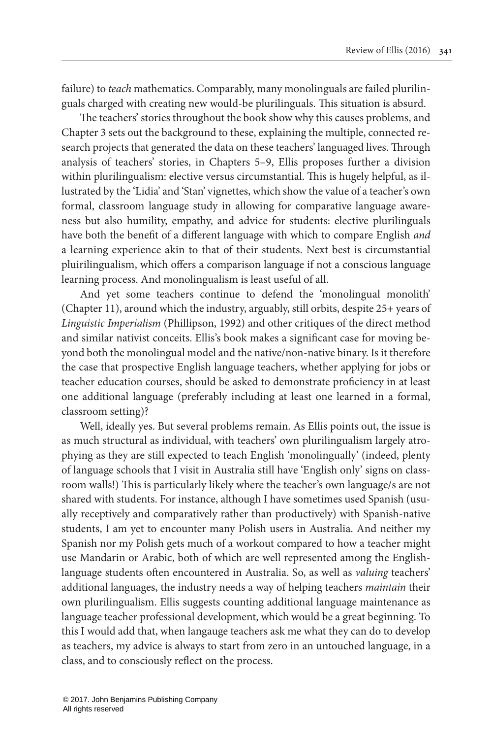failure) to *teach* mathematics. Comparably, many monolinguals are failed plurilinguals charged with creating new would-be plurilinguals. This situation is absurd.

The teachers' stories throughout the book show why this causes problems, and Chapter 3 sets out the background to these, explaining the multiple, connected research projects that generated the data on these teachers' languaged lives. Through analysis of teachers' stories, in Chapters 5–9, Ellis proposes further a division within plurilingualism: elective versus circumstantial. This is hugely helpful, as illustrated by the 'Lidia' and 'Stan' vignettes, which show the value of a teacher's own formal, classroom language study in allowing for comparative language awareness but also humility, empathy, and advice for students: elective plurilinguals have both the benefit of a different language with which to compare English *and* a learning experience akin to that of their students. Next best is circumstantial pluirilingualism, which offers a comparison language if not a conscious language learning process. And monolingualism is least useful of all.

And yet some teachers continue to defend the 'monolingual monolith' (Chapter 11), around which the industry, arguably, still orbits, despite 25+ years of *Linguistic Imperialism* [\(Phillipson, 1992](#page-4-3)) and other critiques of the direct method and similar nativist conceits. Ellis's book makes a significant case for moving beyond both the monolingual model and the native/non-native binary. Is it therefore the case that prospective English language teachers, whether applying for jobs or teacher education courses, should be asked to demonstrate proficiency in at least one additional language (preferably including at least one learned in a formal, classroom setting)?

Well, ideally yes. But several problems remain. As Ellis points out, the issue is as much structural as individual, with teachers' own plurilingualism largely atrophying as they are still expected to teach English 'monolingually' (indeed, plenty of language schools that I visit in Australia still have 'English only' signs on classroom walls!) This is particularly likely where the teacher's own language/s are not shared with students. For instance, although I have sometimes used Spanish (usually receptively and comparatively rather than productively) with Spanish-native students, I am yet to encounter many Polish users in Australia. And neither my Spanish nor my Polish gets much of a workout compared to how a teacher might use Mandarin or Arabic, both of which are well represented among the Englishlanguage students often encountered in Australia. So, as well as *valuing* teachers' additional languages, the industry needs a way of helping teachers *maintain* their own plurilingualism. Ellis suggests counting additional language maintenance as language teacher professional development, which would be a great beginning. To this I would add that, when langauge teachers ask me what they can do to develop as teachers, my advice is always to start from zero in an untouched language, in a class, and to consciously reflect on the process.